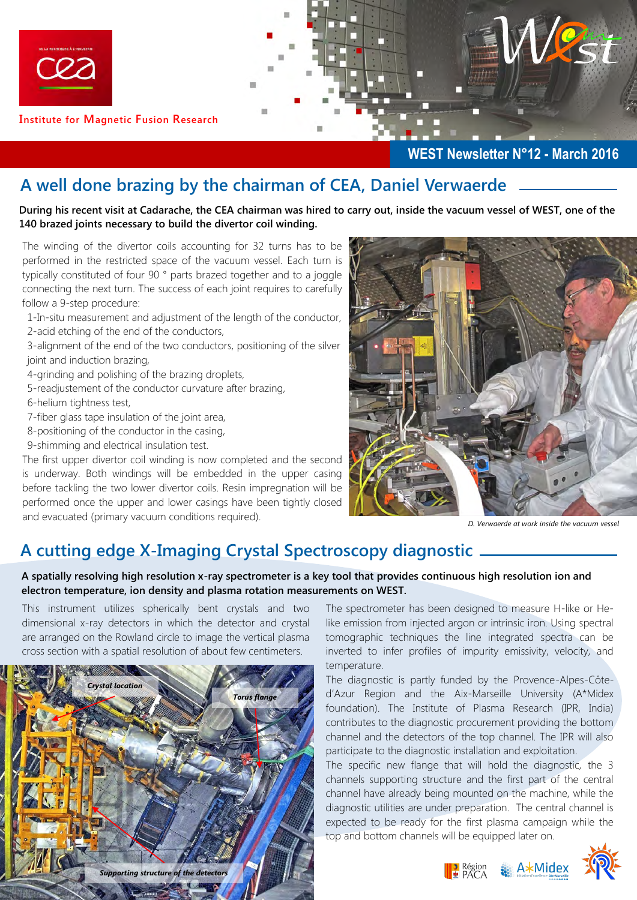

**Institute for Magnetic Fusion Research** 

### **WEST Newsletter N°12 - March 2016**

## **A well done brazing by the chairman of CEA, Daniel Verwaerde**

**During his recent visit at Cadarache, the CEA chairman was hired to carry out, inside the vacuum vessel of WEST, one of the 140 brazed joints necessary to build the divertor coil winding.** 

The winding of the divertor coils accounting for 32 turns has to be performed in the restricted space of the vacuum vessel. Each turn is typically constituted of four 90 ° parts brazed together and to a joggle connecting the next turn. The success of each joint requires to carefully follow a 9-step procedure:

- 1-In-situ measurement and adjustment of the length of the conductor,
- 2-acid etching of the end of the conductors,
- 3-alignment of the end of the two conductors, positioning of the silver joint and induction brazing,
- 4-grinding and polishing of the brazing droplets,
- 5-readjustement of the conductor curvature after brazing, 6-helium tightness test,
- 7-fiber glass tape insulation of the joint area,
- 8-positioning of the conductor in the casing,
- 9-shimming and electrical insulation test.

The first upper divertor coil winding is now completed and the second is underway. Both windings will be embedded in the upper casing before tackling the two lower divertor coils. Resin impregnation will be performed once the upper and lower casings have been tightly closed and evacuated (primary vacuum conditions required).



*D. Verwaerde at work inside the vacuum vessel* 

## **A cutting edge X-Imaging Crystal Spectroscopy diagnostic**

#### **A spatially resolving high resolution x-ray spectrometer is a key tool that provides continuous high resolution ion and electron temperature, ion density and plasma rotation measurements on WEST.**

This instrument utilizes spherically bent crystals and two dimensional x-ray detectors in which the detector and crystal are arranged on the Rowland circle to image the vertical plasma cross section with a spatial resolution of about few centimeters.



The spectrometer has been designed to measure H-like or Helike emission from injected argon or intrinsic iron. Using spectral tomographic techniques the line integrated spectra can be inverted to infer profiles of impurity emissivity, velocity, and temperature.

The diagnostic is partly funded by the Provence-Alpes-Côted'Azur Region and the Aix-Marseille University (A\*Midex foundation). The Institute of Plasma Research (IPR, India) contributes to the diagnostic procurement providing the bottom channel and the detectors of the top channel. The IPR will also participate to the diagnostic installation and exploitation.

The specific new flange that will hold the diagnostic, the 3 channels supporting structure and the first part of the central channel have already being mounted on the machine, while the diagnostic utilities are under preparation. The central channel is expected to be ready for the first plasma campaign while the top and bottom channels will be equipped later on.

Région **AXMIDEX**